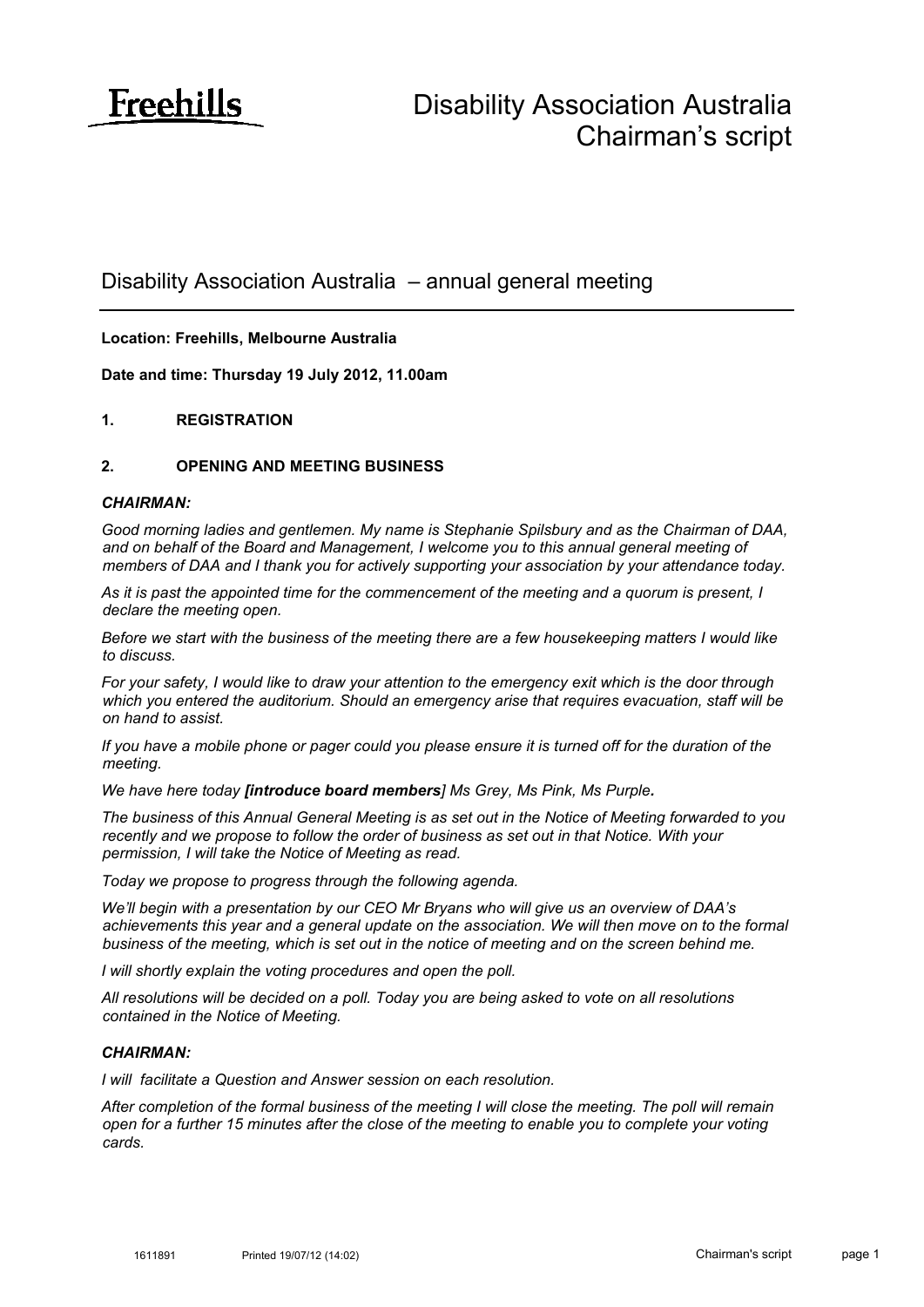

# Disability Association Australia – annual general meeting

# **Location: Freehills, Melbourne Australia**

**Date and time: Thursday 19 July 2012, 11.00am**

# **1. REGISTRATION**

#### **2. OPENING AND MEETING BUSINESS**

#### *CHAIRMAN:*

*Good morning ladies and gentlemen. My name is Stephanie Spilsbury and as the Chairman of DAA, and on behalf of the Board and Management, I welcome you to this annual general meeting of members of DAA and I thank you for actively supporting your association by your attendance today.* 

*As it is past the appointed time for the commencement of the meeting and a quorum is present, I declare the meeting open.*

*Before we start with the business of the meeting there are a few housekeeping matters I would like to discuss.*

*For your safety, I would like to draw your attention to the emergency exit which is the door through which you entered the auditorium. Should an emergency arise that requires evacuation, staff will be on hand to assist.*

*If you have a mobile phone or pager could you please ensure it is turned off for the duration of the meeting.*

*We have here today [introduce board members] Ms Grey, Ms Pink, Ms Purple.*

*The business of this Annual General Meeting is as set out in the Notice of Meeting forwarded to you recently and we propose to follow the order of business as set out in that Notice. With your permission, I will take the Notice of Meeting as read.*

*Today we propose to progress through the following agenda.*

*We'll begin with a presentation by our CEO Mr Bryans who will give us an overview of DAA's*  achievements this year and a general update on the association. We will then move on to the formal *business of the meeting, which is set out in the notice of meeting and on the screen behind me.*

*I will shortly explain the voting procedures and open the poll.*

*All resolutions will be decided on a poll. Today you are being asked to vote on all resolutions contained in the Notice of Meeting.*

#### *CHAIRMAN:*

*I will facilitate a Question and Answer session on each resolution.*

*After completion of the formal business of the meeting I will close the meeting. The poll will remain open for a further 15 minutes after the close of the meeting to enable you to complete your voting cards.*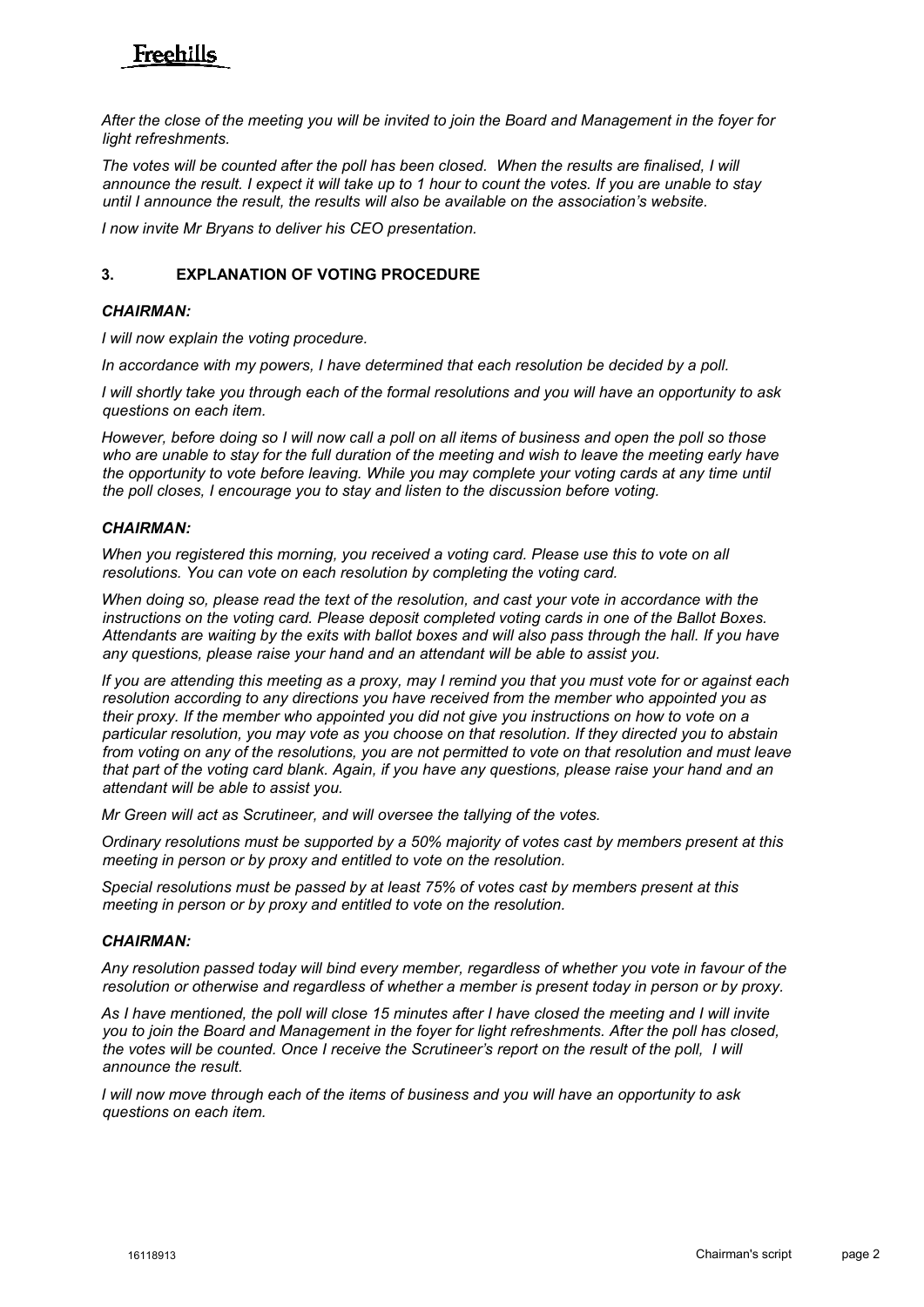# Freehills

*After the close of the meeting you will be invited to join the Board and Management in the foyer for light refreshments.* 

The votes will be counted after the poll has been closed. When the results are finalised, I will *announce the result. I expect it will take up to 1 hour to count the votes. If you are unable to stay until I announce the result, the results will also be available on the association's website.* 

*I now invite Mr Bryans to deliver his CEO presentation.* 

# **3. EXPLANATION OF VOTING PROCEDURE**

# *CHAIRMAN:*

*I will now explain the voting procedure.*

*In accordance with my powers, I have determined that each resolution be decided by a poll.* 

*I will shortly take you through each of the formal resolutions and you will have an opportunity to ask questions on each item.* 

*However, before doing so I will now call a poll on all items of business and open the poll so those who are unable to stay for the full duration of the meeting and wish to leave the meeting early have the opportunity to vote before leaving. While you may complete your voting cards at any time until the poll closes, I encourage you to stay and listen to the discussion before voting.*

# *CHAIRMAN:*

*When you registered this morning, you received a voting card. Please use this to vote on all resolutions. You can vote on each resolution by completing the voting card.* 

*When doing so, please read the text of the resolution, and cast your vote in accordance with the instructions on the voting card. Please deposit completed voting cards in one of the Ballot Boxes. Attendants are waiting by the exits with ballot boxes and will also pass through the hall. If you have any questions, please raise your hand and an attendant will be able to assist you.*

*If you are attending this meeting as a proxy, may I remind you that you must vote for or against each resolution according to any directions you have received from the member who appointed you as their proxy. If the member who appointed you did not give you instructions on how to vote on a particular resolution, you may vote as you choose on that resolution. If they directed you to abstain from voting on any of the resolutions, you are not permitted to vote on that resolution and must leave that part of the voting card blank. Again, if you have any questions, please raise your hand and an attendant will be able to assist you.*

*Mr Green will act as Scrutineer, and will oversee the tallying of the votes.* 

*Ordinary resolutions must be supported by a 50% majority of votes cast by members present at this meeting in person or by proxy and entitled to vote on the resolution.* 

*Special resolutions must be passed by at least 75% of votes cast by members present at this meeting in person or by proxy and entitled to vote on the resolution.* 

# *CHAIRMAN:*

*Any resolution passed today will bind every member, regardless of whether you vote in favour of the resolution or otherwise and regardless of whether a member is present today in person or by proxy.*

*As I have mentioned, the poll will close 15 minutes after I have closed the meeting and I will invite you to join the Board and Management in the foyer for light refreshments. After the poll has closed, the votes will be counted. Once I receive the Scrutineer's report on the result of the poll, I will announce the result.*

*I will now move through each of the items of business and you will have an opportunity to ask questions on each item.*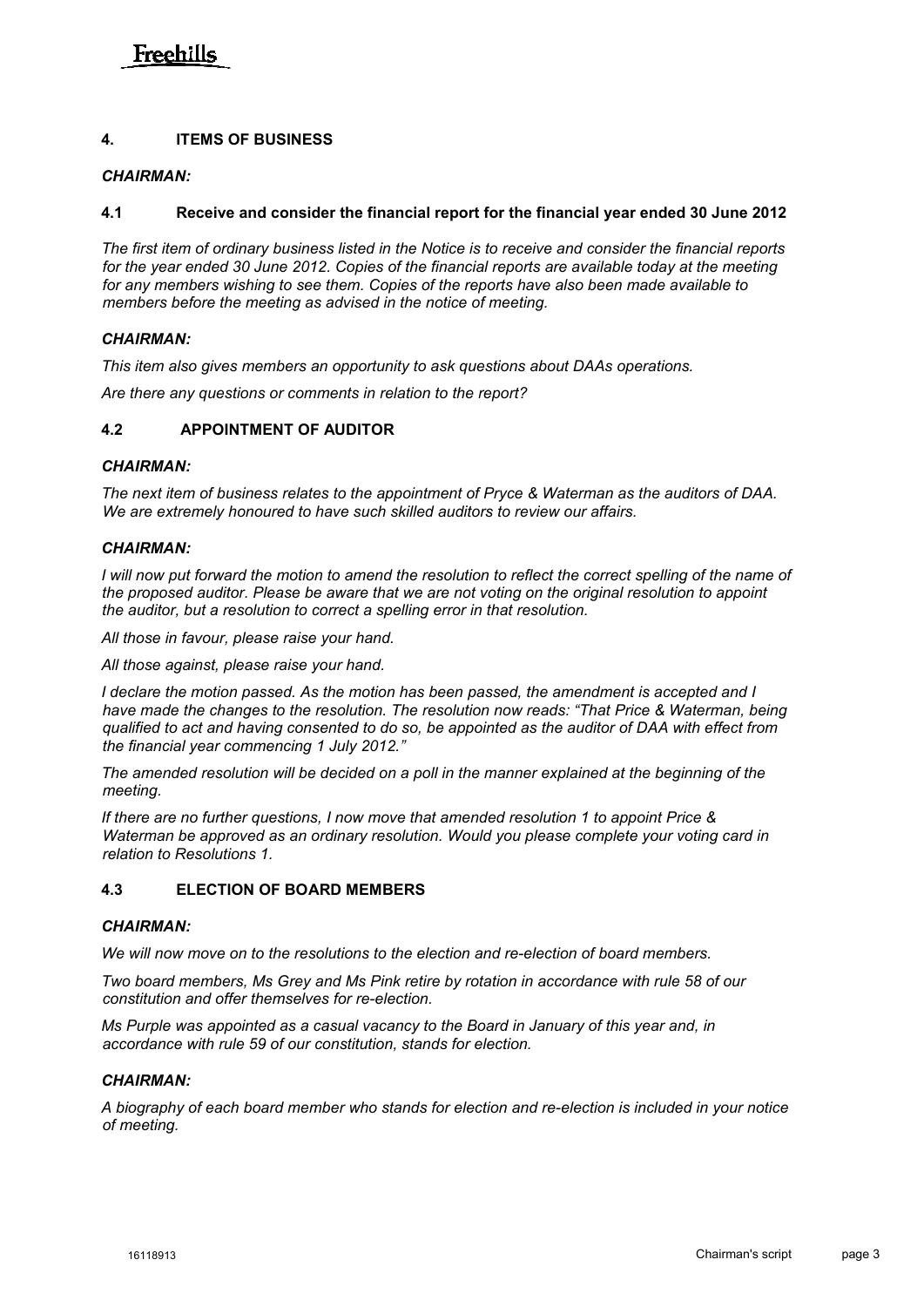# Freehille

# **4. ITEMS OF BUSINESS**

# *CHAIRMAN:*

### **4.1 Receive and consider the financial report for the financial year ended 30 June 2012**

*The first item of ordinary business listed in the Notice is to receive and consider the financial reports for the year ended 30 June 2012. Copies of the financial reports are available today at the meeting for any members wishing to see them. Copies of the reports have also been made available to members before the meeting as advised in the notice of meeting.*

#### *CHAIRMAN:*

*This item also gives members an opportunity to ask questions about DAAs operations.*

*Are there any questions or comments in relation to the report?*

# **4.2 APPOINTMENT OF AUDITOR**

### *CHAIRMAN:*

*The next item of business relates to the appointment of Pryce & Waterman as the auditors of DAA. We are extremely honoured to have such skilled auditors to review our affairs.*

#### *CHAIRMAN:*

*I* will now put forward the motion to amend the resolution to reflect the correct spelling of the name of *the proposed auditor. Please be aware that we are not voting on the original resolution to appoint the auditor, but a resolution to correct a spelling error in that resolution.*

*All those in favour, please raise your hand.*

*All those against, please raise your hand.*

*I declare the motion passed. As the motion has been passed, the amendment is accepted and I have made the changes to the resolution. The resolution now reads: "That Price & Waterman, being qualified to act and having consented to do so, be appointed as the auditor of DAA with effect from the financial year commencing 1 July 2012."*

*The amended resolution will be decided on a poll in the manner explained at the beginning of the meeting.* 

*If there are no further questions, I now move that amended resolution 1 to appoint Price & Waterman be approved as an ordinary resolution. Would you please complete your voting card in relation to Resolutions 1.*

# **4.3 ELECTION OF BOARD MEMBERS**

# *CHAIRMAN:*

*We will now move on to the resolutions to the election and re-election of board members.*

*Two board members, Ms Grey and Ms Pink retire by rotation in accordance with rule 58 of our constitution and offer themselves for re-election.* 

*Ms Purple was appointed as a casual vacancy to the Board in January of this year and, in accordance with rule 59 of our constitution, stands for election.*

#### *CHAIRMAN:*

*A biography of each board member who stands for election and re-election is included in your notice of meeting.*